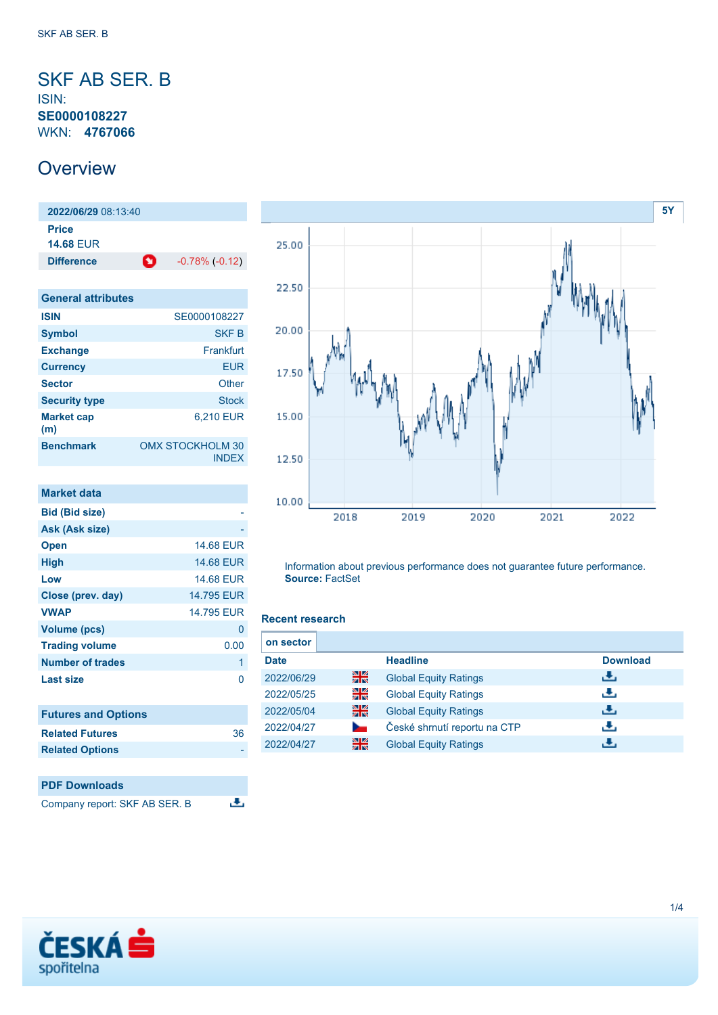<span id="page-0-0"></span>SKF AB SER. B ISIN: **SE0000108227** WKN: **4767066**

## **Overview**

**2022/06/29** 08:13:40 **Price 14.68** EUR **Difference 1** -0.78% (-0.12)

| <b>General attributes</b> |                                         |
|---------------------------|-----------------------------------------|
| <b>ISIN</b>               | SE0000108227                            |
| <b>Symbol</b>             | <b>SKFB</b>                             |
| <b>Exchange</b>           | Frankfurt                               |
| <b>Currency</b>           | EUR                                     |
| <b>Sector</b>             | Other                                   |
| <b>Security type</b>      | <b>Stock</b>                            |
| <b>Market cap</b><br>(m)  | 6,210 EUR                               |
| <b>Benchmark</b>          | <b>OMX STOCKHOLM 30</b><br><b>INDEX</b> |

| <b>Market data</b>         |                  |
|----------------------------|------------------|
| <b>Bid (Bid size)</b>      |                  |
| Ask (Ask size)             |                  |
| <b>Open</b>                | <b>14.68 EUR</b> |
| High                       | 14.68 EUR        |
| Low                        | <b>14.68 EUR</b> |
| Close (prev. day)          | 14.795 EUR       |
| <b>VWAP</b>                | 14.795 EUR       |
| <b>Volume (pcs)</b>        | 0                |
| <b>Trading volume</b>      | 0.00             |
| <b>Number of trades</b>    | 1                |
| Last size                  | ი                |
| <b>Futures and Options</b> |                  |
| <b>Related Futures</b>     | 36               |
| <b>Related Options</b>     |                  |

#### **PDF Downloads** 违 Company report: SKF AB SER. B



Information about previous performance does not guarantee future performance. **Source:** FactSet

#### **Recent research**

| on sector   |    |                              |                 |
|-------------|----|------------------------------|-----------------|
| <b>Date</b> |    | <b>Headline</b>              | <b>Download</b> |
| 2022/06/29  | 을중 | <b>Global Equity Ratings</b> | رائی            |
| 2022/05/25  | 읡  | <b>Global Equity Ratings</b> | رنان            |
| 2022/05/04  | 을중 | <b>Global Equity Ratings</b> | رالى            |
| 2022/04/27  |    | České shrnutí reportu na CTP | رنان            |
| 2022/04/27  | 을중 | <b>Global Equity Ratings</b> | ٠₩.             |

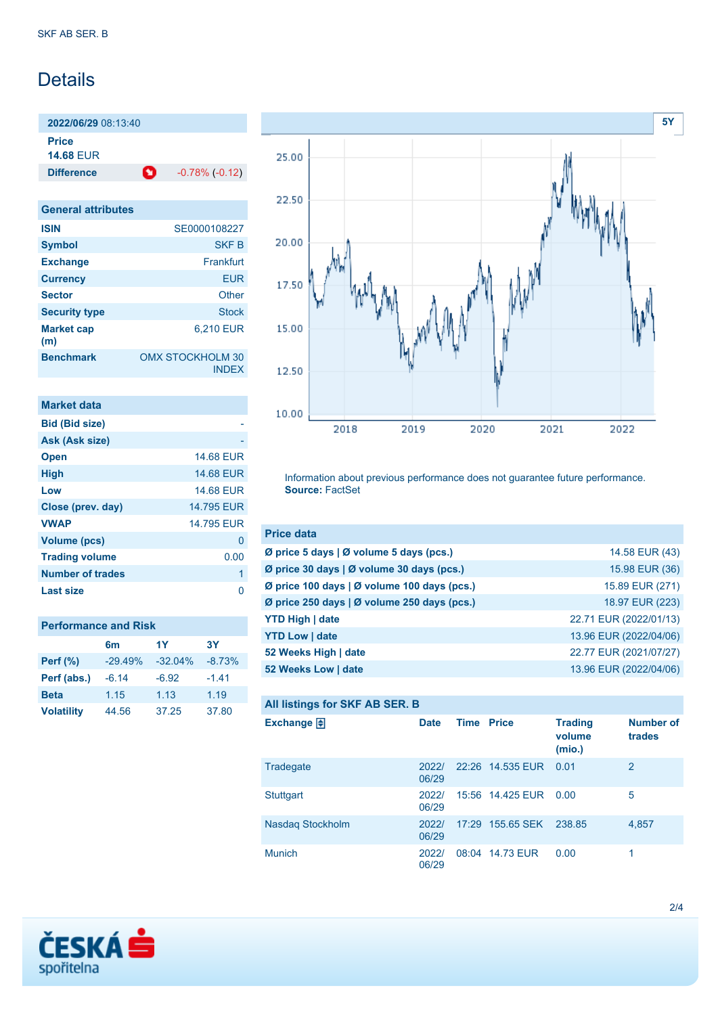# **Details**

**2022/06/29** 08:13:40 **Price 14.68** EUR

**Difference a** -0.78% (-0.12)

| <b>General attributes</b> |                                         |
|---------------------------|-----------------------------------------|
| <b>ISIN</b>               | SE0000108227                            |
| <b>Symbol</b>             | <b>SKF B</b>                            |
| <b>Exchange</b>           | Frankfurt                               |
| <b>Currency</b>           | EUR                                     |
| <b>Sector</b>             | Other                                   |
| <b>Security type</b>      | <b>Stock</b>                            |
| <b>Market cap</b><br>(m)  | 6,210 EUR                               |
| <b>Benchmark</b>          | <b>OMX STOCKHOLM 30</b><br><b>INDEX</b> |

| <b>Market data</b>    |                  |
|-----------------------|------------------|
| <b>Bid (Bid size)</b> |                  |
| Ask (Ask size)        |                  |
| <b>Open</b>           | <b>14.68 EUR</b> |
| <b>High</b>           | <b>14.68 EUR</b> |
| Low                   | <b>14.68 EUR</b> |
| Close (prev. day)     | 14.795 EUR       |
| <b>VWAP</b>           | 14.795 FUR       |
| <b>Volume (pcs)</b>   | 0                |
| <b>Trading volume</b> | 0.00             |
| Number of trades      | 1                |
| Last size             |                  |

| <b>Performance and Risk</b> |                |           |           |  |
|-----------------------------|----------------|-----------|-----------|--|
|                             | 6 <sub>m</sub> | 1Y        | <b>3Y</b> |  |
| <b>Perf (%)</b>             | $-29.49%$      | $-32.04%$ | $-8.73%$  |  |
| Perf (abs.)                 | $-6.14$        | $-6.92$   | $-1.41$   |  |
| <b>Beta</b>                 | 1.15           | 1.13      | 1.19      |  |
| <b>Volatility</b>           | 44.56          | 37.25     | 37.80     |  |



Information about previous performance does not guarantee future performance. **Source:** FactSet

| <b>Price data</b>                                         |                        |
|-----------------------------------------------------------|------------------------|
| $\emptyset$ price 5 days $\emptyset$ volume 5 days (pcs.) | 14.58 EUR (43)         |
| Ø price 30 days   Ø volume 30 days (pcs.)                 | 15.98 EUR (36)         |
| Ø price 100 days   Ø volume 100 days (pcs.)               | 15.89 EUR (271)        |
| Ø price 250 days   Ø volume 250 days (pcs.)               | 18.97 EUR (223)        |
| <b>YTD High   date</b>                                    | 22.71 EUR (2022/01/13) |
| <b>YTD Low   date</b>                                     | 13.96 EUR (2022/04/06) |
| 52 Weeks High   date                                      | 22.77 EUR (2021/07/27) |
| 52 Weeks Low   date                                       | 13.96 EUR (2022/04/06) |

### **All listings for SKF AB SER. B**

| . .                  |                |                   |                  |                                    |                            |
|----------------------|----------------|-------------------|------------------|------------------------------------|----------------------------|
| Exchange $\bigoplus$ | <b>Date</b>    | <b>Time Price</b> |                  | <b>Trading</b><br>volume<br>(mio.) | <b>Number of</b><br>trades |
| Tradegate            | 2022/<br>06/29 |                   | 22:26 14.535 EUR | 0.01                               | $\overline{2}$             |
| <b>Stuttgart</b>     | 20221<br>06/29 |                   | 15:56 14.425 EUR | 0.00                               | 5                          |
| Nasdag Stockholm     | 20221<br>06/29 |                   | 17:29 155.65 SEK | 238.85                             | 4,857                      |
| <b>Munich</b>        | 2022/<br>06/29 |                   | 08:04 14.73 EUR  | 0.00                               | 1                          |

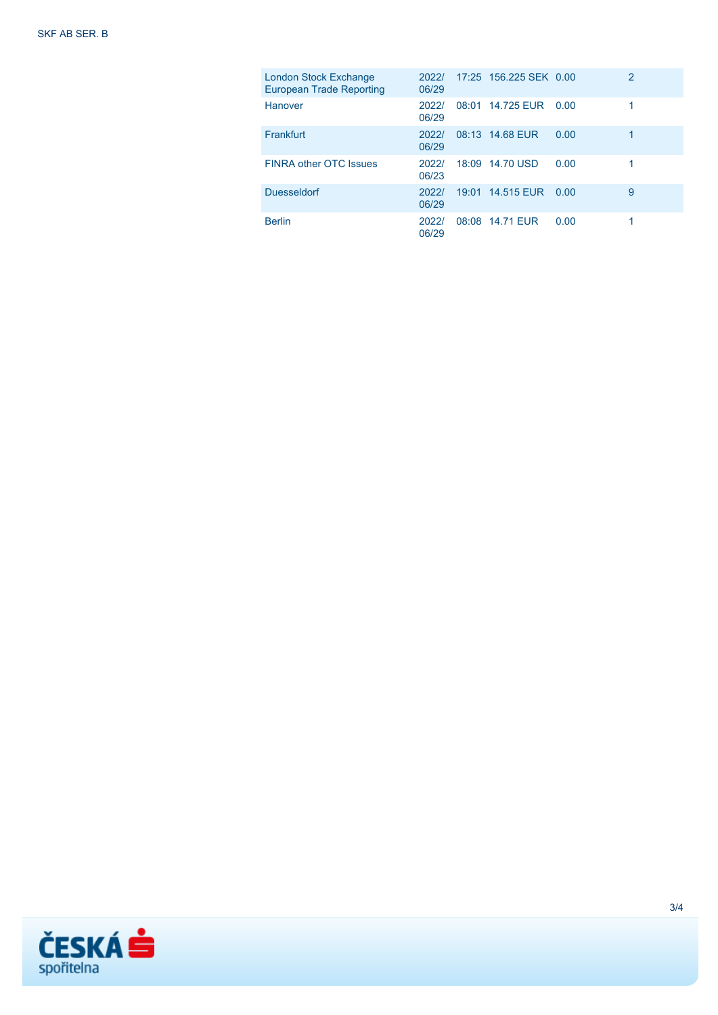| London Stock Exchange<br><b>European Trade Reporting</b> | 2022/<br>06/29 | 17:25 156.225 SEK 0.00 |      | $\overline{2}$ |
|----------------------------------------------------------|----------------|------------------------|------|----------------|
| <b>Hanover</b>                                           | 2022/<br>06/29 | 08:01 14.725 EUR       | 0.00 |                |
| Frankfurt                                                | 20221<br>06/29 | 08:13 14.68 EUR        | 0.00 |                |
| <b>FINRA other OTC Issues</b>                            | 2022/<br>06/23 | 18:09 14.70 USD        | 0.00 |                |
| <b>Duesseldorf</b>                                       | 20221<br>06/29 | 19:01 14.515 EUR       | 0.00 | 9              |
| <b>Berlin</b>                                            | 2022/<br>06/29 | 08:08 14.71 EUR        | 0.00 |                |